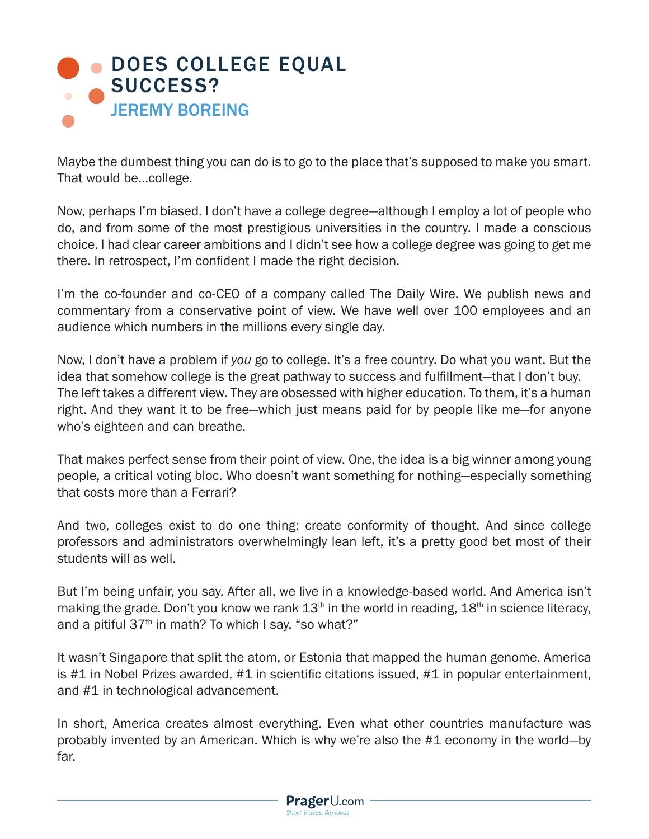

Maybe the dumbest thing you can do is to go to the place that's supposed to make you smart. That would be…college.

Now, perhaps I'm biased. I don't have a college degree—although I employ a lot of people who do, and from some of the most prestigious universities in the country. I made a conscious choice. I had clear career ambitions and I didn't see how a college degree was going to get me there. In retrospect, I'm confident I made the right decision.

I'm the co-founder and co-CEO of a company called The Daily Wire. We publish news and commentary from a conservative point of view. We have well over 100 employees and an audience which numbers in the millions every single day.

Now, I don't have a problem if *you* go to college. It's a free country. Do what you want. But the idea that somehow college is the great pathway to success and fulfillment—that I don't buy. The left takes a different view. They are obsessed with higher education. To them, it's a human right. And they want it to be free—which just means paid for by people like me—for anyone who's eighteen and can breathe.

That makes perfect sense from their point of view. One, the idea is a big winner among young people, a critical voting bloc. Who doesn't want something for nothing—especially something that costs more than a Ferrari?

And two, colleges exist to do one thing: create conformity of thought. And since college professors and administrators overwhelmingly lean left, it's a pretty good bet most of their students will as well.

But I'm being unfair, you say. After all, we live in a knowledge-based world. And America isn't making the grade. Don't you know we rank  $13<sup>th</sup>$  in the world in reading,  $18<sup>th</sup>$  in science literacy, and a pitiful  $37<sup>th</sup>$  in math? To which I say, "so what?"

It wasn't Singapore that split the atom, or Estonia that mapped the human genome. America is #1 in Nobel Prizes awarded, #1 in scientific citations issued, #1 in popular entertainment, and #1 in technological advancement.

In short, America creates almost everything. Even what other countries manufacture was probably invented by an American. Which is why we're also the #1 economy in the world—by far.